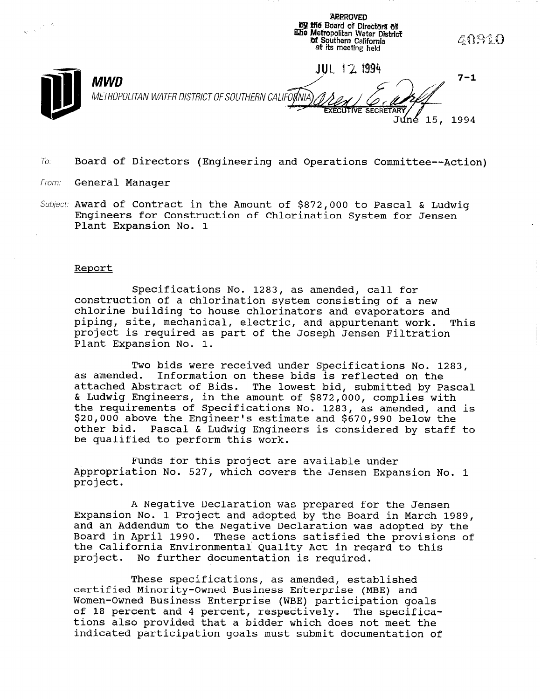DY ifi6 Board of Directors of lGtie Mefropolitan Water District: 40910 **of Southern California** at its meetfng held JUL 12 1994 **iB MWD** METROP  $7 - 1$ METROPOLITAN WATER DISTRICT OF SOUTHERN CALIFORNIA Juné 15, 1994

**ABEROVED** 

 $To:$  Board of Directors (Engineering and Operations Committee--Action)

- From: **General Manager**
- Subject: Award of Contract in the Amount of \$872,000 to Pascal & Ludwig Engineers for Construction of Chlorination System for Jensen Plant Expansion No. 1

#### Report

Specifications No. 1283, as amended, call for construction of a chlorination system consisting of a new chlorine building to house chlorinators and evaporators and piping, site, mechanical, electric, and appurtenant work. This project is required as part of the Joseph Jensen Filtration Plant Expansion No. 1.

Two bids were received under Specifications No. 1283, as amended. Information on these bids is reflected on the as amenaeu. Información on chese bius is reflected on the<br>attached Abstract of Bids. The lowest bid, submitted by Pasca accached incerace of bias. The fowere sid, sammitted by id the requirements of Specifications No. 1283, as amended, and is the requirements of specifications no. 1205, as amended, and<br>\$20,000 above the Engineer's estimate and \$670,990 below the \$20,000 above the Engineer's estimate and \$670,990 below the<br>other bid. Pascal & Ludwig Engineers is considered by staff to be qualified to perform this work.

Funds for this project are available under runus for this project are available under<br>Appropriation No. 527, which covers the Jensen Expansion No. 1 project.

A Negative Declaration was prepared for the Jensen Expansion No. 1 Project and adopted by the Board in March 1989, and an Addendum to the Negative Declaration was adopted by the Board in April 1990. These actions satisfied the provisions of the California Environmental Quality Act in regard to this project. No further documentation is required.

 $\mathbf{m}_{\mathbf{b}}$  specifications, as a specifications, as a specifications, and  $\mathbf{r}_{\mathbf{b}}$ certified Minority-Owned Business Business Business And Business Enterprise (MBE) and ME Women-Owned Business Enterprise (MBE) and<br>Women-Owned Puriners Putcompion (UPT) participation go women-owned business more prise (WBE) participation goals. of 18 percent and 4 percent, respectively. The specifications also provided that a bidder which does not meet the<br>indicated participation goals must submit documentation of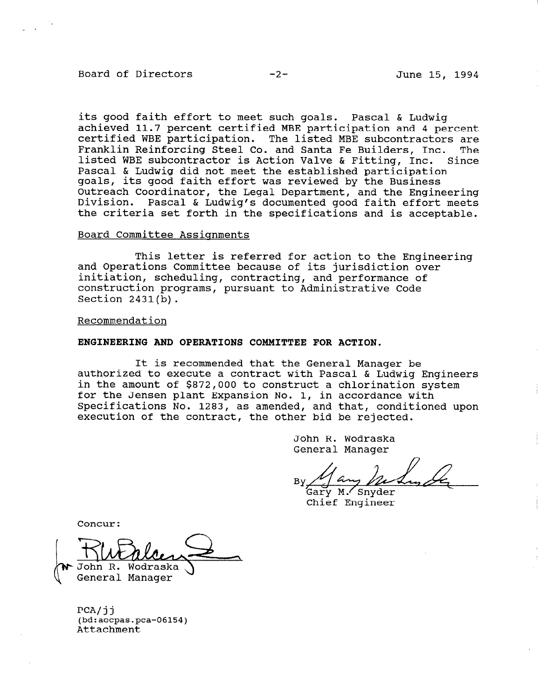### Board of Directors -2- June 15, 1994

its good faith effort to meet such goals. Pascal & Ludwig achieved 11.7 percent certified MBE participation and 4 percent certified WBE participation. The listed MBE subcontractors are Franklin Reinforcing Steel Co. and Santa Fe Builders, Inc. The listed WBE subcontractor is Action Valve & Fitting, Inc. Since Pascal & Ludwig did not meet the established participation goals, its good faith effort was reviewed by the Business Outreach Coordinator, the Legal Department, and the Engineering Division. Pascal & Ludwig's documented good faith effort meets the criteria set forth in the specifications and is acceptable.

## Board Committee Assignments

This letter is referred for action to the Engineeri and Operations Committee because of its jurisdiction over initiation, scheduling, contracting, and performance of construction programs, pursuant to Administrative Code Section 2431(b).

#### Recommendation

## ENGINEERING AND OPERATIONS COMMITTEE FOR ACTION.

It is recommended that the General Manager be authorized to execute a contract with Pascal & Ludwig Engineers in the amount of \$872,000 to construct a chlorination system for the Jensen plant Expansion No. 1, in accordance with Specifications No. 1283, as amended, and that, conditioned upon execution of the contract, the other bid be rejected.

> John R. Wodraska General Manager

Gary M.<sup>/</sup>Snyder<br>Chief Engineer

Concur:

John R. Wodraska

 $P^{\text{cav}}$  $FCH/JJ$ (bd:aocpas.pca-06154)<br>Attachment